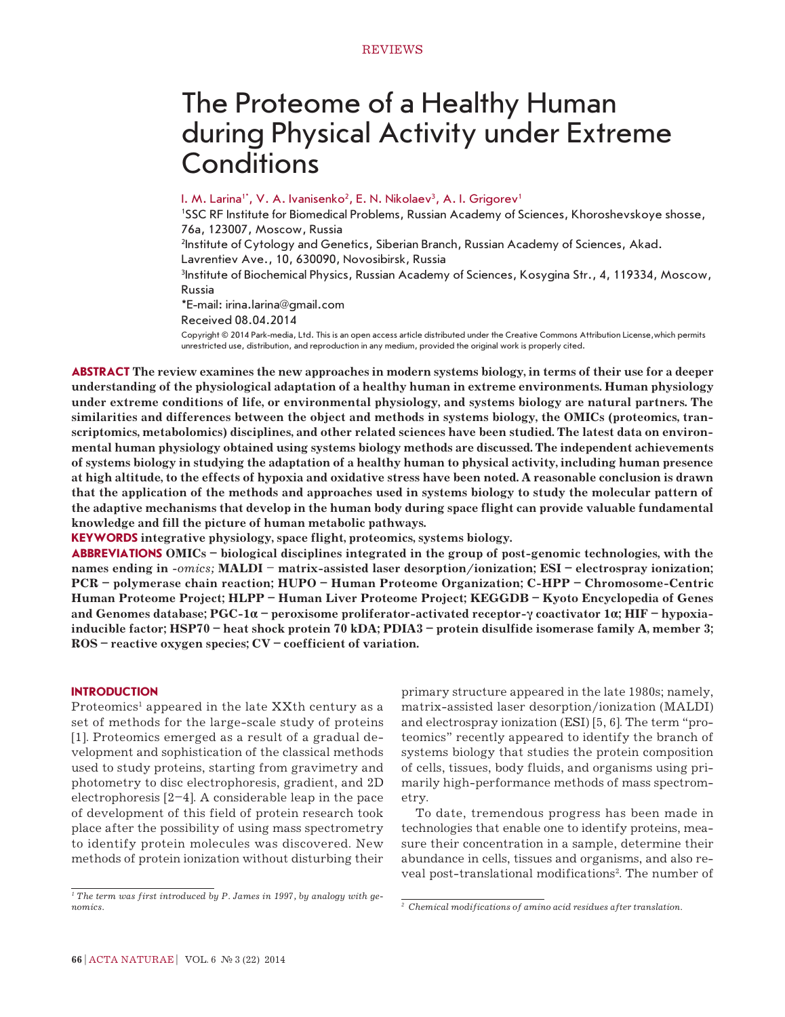# The Proteome of a Healthy Human during Physical Activity under Extreme **Conditions**

#### I. M. Larina<sup>1\*</sup>, V. A. Ivanisenko<sup>2</sup>, E. N. Nikolaev<sup>3</sup>, A. I. Grigorev<sup>1</sup>

1 SSC RF Institute for Biomedical Problems, Russian Academy of Sciences, Khoroshevskoye shosse, 76a, 123007, Moscow, Russia

2 Institute of Cytology and Genetics, Siberian Branch, Russian Academy of Sciences, Akad. Lavrentiev Ave., 10, 630090, Novosibirsk, Russia

3 Institute of Biochemical Physics, Russian Academy of Sciences, Kosygina Str., 4, 119334, Moscow, Russia

\*E-mail: irina.larina@gmail.com

Received 08.04.2014

Copyright © 2014 Park-media, Ltd. This is an open access article distributed under the Creative Commons Attribution License,which permits unrestricted use, distribution, and reproduction in any medium, provided the original work is properly cited.

**ABSTRACT The review examines the new approaches in modern systems biology, in terms of their use for a deeper understanding of the physiological adaptation of a healthy human in extreme environments. Human physiology under extreme conditions of life, or environmental physiology, and systems biology are natural partners. The similarities and differences between the object and methods in systems biology, the OMICs (proteomics, transcriptomics, metabolomics) disciplines, and other related sciences have been studied. The latest data on environmental human physiology obtained using systems biology methods are discussed. The independent achievements of systems biology in studying the adaptation of a healthy human to physical activity, including human presence at high altitude, to the effects of hypoxia and oxidative stress have been noted. A reasonable conclusion is drawn that the application of the methods and approaches used in systems biology to study the molecular pattern of the adaptive mechanisms that develop in the human body during space flight can provide valuable fundamental knowledge and fill the picture of human metabolic pathways.**

**KEYWORDS integrative physiology, space flight, proteomics, systems biology.**

**ABBREVIATIONS OMICs – biological disciplines integrated in the group of post-genomic technologies, with the names ending in** *-omics;* **MALDI** *–* **matrix-assisted laser desorption/ionization; ESI – electrospray ionization; PCR – polymerase chain reaction; HUPO – Human Proteome Organization; C-HPP – Chromosome-Centric Human Proteome Project; HLPP – Human Liver Proteome Project; KEGGDB – Kyoto Encyclopedia of Genes and Genomes database; PGC-1α – peroxisome proliferator-activated receptor-γ coactivator 1α; HIF – hypoxiainducible factor; HSP70 – heat shock protein 70 kDA; PDIA3 – protein disulfide isomerase family A, member 3; ROS – reactive oxygen species; CV – coefficient of variation.** 

### **INTRODUCTION**

Proteomics<sup>1</sup> appeared in the late XXth century as a set of methods for the large-scale study of proteins [1]. Proteomics emerged as a result of a gradual development and sophistication of the classical methods used to study proteins, starting from gravimetry and photometry to disc electrophoresis, gradient, and 2D electrophoresis [2–4]. A considerable leap in the pace of development of this field of protein research took place after the possibility of using mass spectrometry to identify protein molecules was discovered. New methods of protein ionization without disturbing their

primary structure appeared in the late 1980s; namely, matrix-assisted laser desorption/ionization (MALDI) and electrospray ionization (ESI) [5, 6]. The term "proteomics" recently appeared to identify the branch of systems biology that studies the protein composition of cells, tissues, body fluids, and organisms using primarily high-performance methods of mass spectrometry.

To date, tremendous progress has been made in technologies that enable one to identify proteins, measure their concentration in a sample, determine their abundance in cells, tissues and organisms, and also reveal post-translational modifications<sup>2</sup>. The number of

<sup>&</sup>lt;sup>1</sup> The term was first introduced by P. James in 1997, by analogy with ge*nomics.*

*<sup>2</sup> Chemical modifications of amino acid residues after translation.*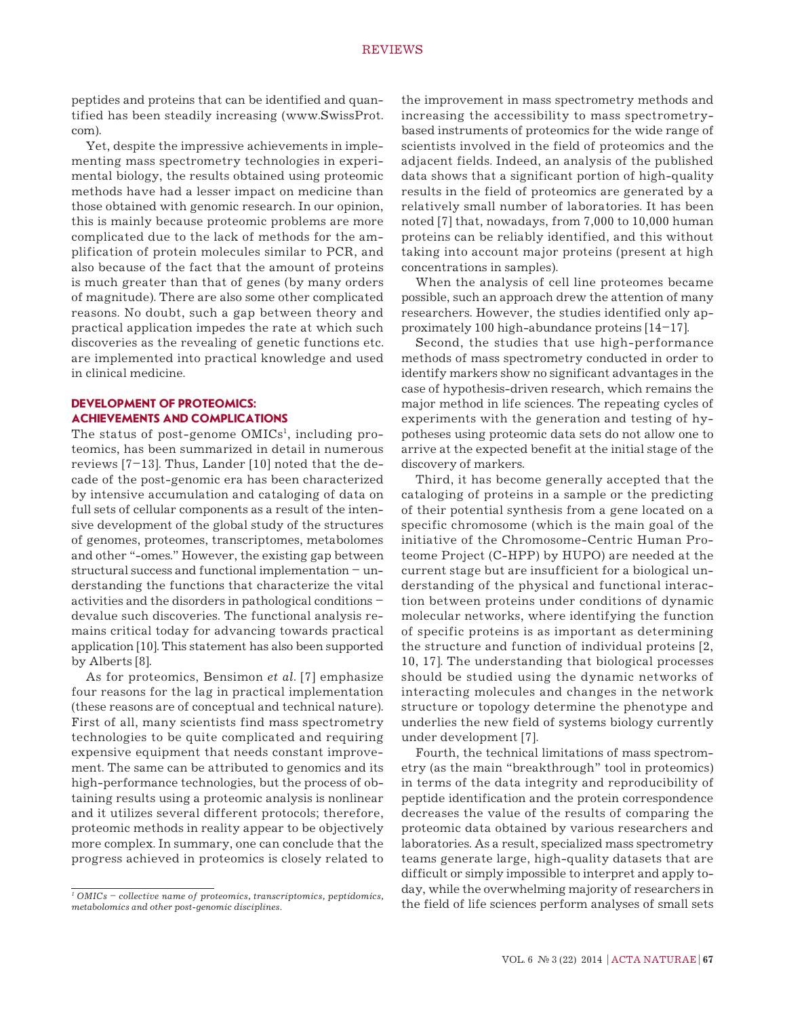peptides and proteins that can be identified and quantified has been steadily increasing (www.SwissProt. com).

Yet, despite the impressive achievements in implementing mass spectrometry technologies in experimental biology, the results obtained using proteomic methods have had a lesser impact on medicine than those obtained with genomic research. In our opinion, this is mainly because proteomic problems are more complicated due to the lack of methods for the amplification of protein molecules similar to PCR, and also because of the fact that the amount of proteins is much greater than that of genes (by many orders of magnitude). There are also some other complicated reasons. No doubt, such a gap between theory and practical application impedes the rate at which such discoveries as the revealing of genetic functions etc. are implemented into practical knowledge and used in clinical medicine.

# **development of proteomics: achievements and complications**

The status of post-genome OMICs<sup>1</sup>, including proteomics, has been summarized in detail in numerous reviews [7–13]. Thus, Lander [10] noted that the decade of the post-genomic era has been characterized by intensive accumulation and cataloging of data on full sets of cellular components as a result of the intensive development of the global study of the structures of genomes, proteomes, transcriptomes, metabolomes and other "-omes." However, the existing gap between structural success and functional implementation – understanding the functions that characterize the vital activities and the disorders in pathological conditions – devalue such discoveries. The functional analysis remains critical today for advancing towards practical application [10]. This statement has also been supported by Alberts [8].

As for proteomics, Bensimon *et al*. [7] emphasize four reasons for the lag in practical implementation (these reasons are of conceptual and technical nature). First of all, many scientists find mass spectrometry technologies to be quite complicated and requiring expensive equipment that needs constant improvement. The same can be attributed to genomics and its high-performance technologies, but the process of obtaining results using a proteomic analysis is nonlinear and it utilizes several different protocols; therefore, proteomic methods in reality appear to be objectively more complex. In summary, one can conclude that the progress achieved in proteomics is closely related to the improvement in mass spectrometry methods and increasing the accessibility to mass spectrometrybased instruments of proteomics for the wide range of scientists involved in the field of proteomics and the adjacent fields. Indeed, an analysis of the published data shows that a significant portion of high-quality results in the field of proteomics are generated by a relatively small number of laboratories. It has been noted [7] that, nowadays, from 7,000 to 10,000 human proteins can be reliably identified, and this without taking into account major proteins (present at high concentrations in samples).

When the analysis of cell line proteomes became possible, such an approach drew the attention of many researchers. However, the studies identified only approximately 100 high-abundance proteins [14–17].

Second, the studies that use high-performance methods of mass spectrometry conducted in order to identify markers show no significant advantages in the case of hypothesis-driven research, which remains the major method in life sciences. The repeating cycles of experiments with the generation and testing of hypotheses using proteomic data sets do not allow one to arrive at the expected benefit at the initial stage of the discovery of markers.

Third, it has become generally accepted that the cataloging of proteins in a sample or the predicting of their potential synthesis from a gene located on a specific chromosome (which is the main goal of the initiative of the Chromosome-Centric Human Proteome Project (C-HPP) by HUPO) are needed at the current stage but are insufficient for a biological understanding of the physical and functional interaction between proteins under conditions of dynamic molecular networks, where identifying the function of specific proteins is as important as determining the structure and function of individual proteins [2, 10, 17]. The understanding that biological processes should be studied using the dynamic networks of interacting molecules and changes in the network structure or topology determine the phenotype and underlies the new field of systems biology currently under development [7].

Fourth, the technical limitations of mass spectrometry (as the main "breakthrough" tool in proteomics) in terms of the data integrity and reproducibility of peptide identification and the protein correspondence decreases the value of the results of comparing the proteomic data obtained by various researchers and laboratories. As a result, specialized mass spectrometry teams generate large, high-quality datasets that are difficult or simply impossible to interpret and apply today, while the overwhelming majority of researchers in the field of life sciences perform analyses of small sets

*<sup>1</sup> OMICs – collective name of proteomics, transcriptomics, peptidomics, metabolomics and other post-genomic disciplines.*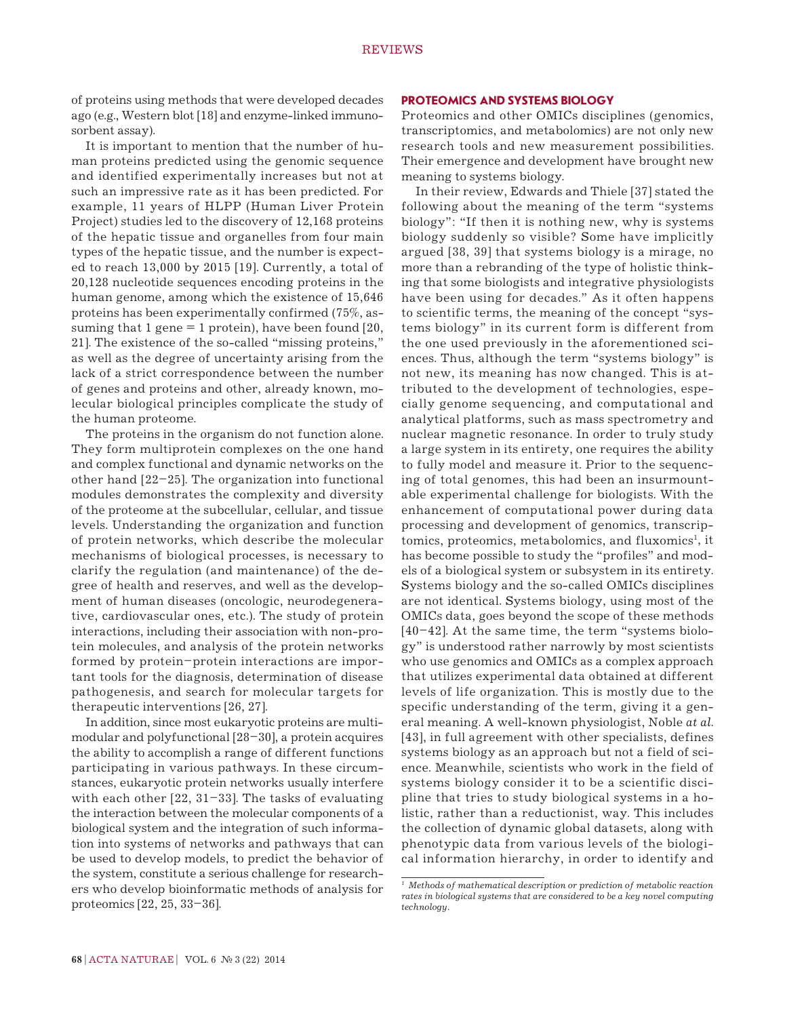of proteins using methods that were developed decades ago (e.g., Western blot [18] and enzyme-linked immunosorbent assay).

It is important to mention that the number of human proteins predicted using the genomic sequence and identified experimentally increases but not at such an impressive rate as it has been predicted. For example, 11 years of HLPP (Human Liver Protein Project) studies led to the discovery of 12,168 proteins of the hepatic tissue and organelles from four main types of the hepatic tissue, and the number is expected to reach 13,000 by 2015 [19]. Currently, a total of 20,128 nucleotide sequences encoding proteins in the human genome, among which the existence of 15,646 proteins has been experimentally confirmed (75%, assuming that 1 gene  $=$  1 protein), have been found  $[20,$ 21]. The existence of the so-called "missing proteins," as well as the degree of uncertainty arising from the lack of a strict correspondence between the number of genes and proteins and other, already known, molecular biological principles complicate the study of the human proteome.

The proteins in the organism do not function alone. They form multiprotein complexes on the one hand and complex functional and dynamic networks on the other hand [22–25]. The organization into functional modules demonstrates the complexity and diversity of the proteome at the subcellular, cellular, and tissue levels. Understanding the organization and function of protein networks, which describe the molecular mechanisms of biological processes, is necessary to clarify the regulation (and maintenance) of the degree of health and reserves, and well as the development of human diseases (oncologic, neurodegenerative, cardiovascular ones, etc.). The study of protein interactions, including their association with non-protein molecules, and analysis of the protein networks formed by protein–protein interactions are important tools for the diagnosis, determination of disease pathogenesis, and search for molecular targets for therapeutic interventions [26, 27].

In addition, since most eukaryotic proteins are multimodular and polyfunctional [28–30], a protein acquires the ability to accomplish a range of different functions participating in various pathways. In these circumstances, eukaryotic protein networks usually interfere with each other [22, 31–33]. The tasks of evaluating the interaction between the molecular components of a biological system and the integration of such information into systems of networks and pathways that can be used to develop models, to predict the behavior of the system, constitute a serious challenge for researchers who develop bioinformatic methods of analysis for proteomics [22, 25, 33–36].

#### **Proteomics and systems biology**

Proteomics and other OMICs disciplines (genomics, transcriptomics, and metabolomics) are not only new research tools and new measurement possibilities. Their emergence and development have brought new meaning to systems biology.

In their review, Edwards and Thiele [37] stated the following about the meaning of the term "systems biology": "If then it is nothing new, why is systems biology suddenly so visible? Some have implicitly argued [38, 39] that systems biology is a mirage, no more than a rebranding of the type of holistic thinking that some biologists and integrative physiologists have been using for decades." As it often happens to scientific terms, the meaning of the concept "systems biology" in its current form is different from the one used previously in the aforementioned sciences. Thus, although the term "systems biology" is not new, its meaning has now changed. This is attributed to the development of technologies, especially genome sequencing, and computational and analytical platforms, such as mass spectrometry and nuclear magnetic resonance. In order to truly study a large system in its entirety, one requires the ability to fully model and measure it. Prior to the sequencing of total genomes, this had been an insurmountable experimental challenge for biologists. With the enhancement of computational power during data processing and development of genomics, transcriptomics, proteomics, metabolomics, and fluxomics<sup>1</sup>, it has become possible to study the "profiles" and models of a biological system or subsystem in its entirety. Systems biology and the so-called OMICs disciplines are not identical. Systems biology, using most of the OMICs data, goes beyond the scope of these methods [40–42]. At the same time, the term "systems biology" is understood rather narrowly by most scientists who use genomics and OMICs as a complex approach that utilizes experimental data obtained at different levels of life organization. This is mostly due to the specific understanding of the term, giving it a general meaning. A well-known physiologist, Noble *at al*. [43], in full agreement with other specialists, defines systems biology as an approach but not a field of science. Meanwhile, scientists who work in the field of systems biology consider it to be a scientific discipline that tries to study biological systems in a holistic, rather than a reductionist, way. This includes the collection of dynamic global datasets, along with phenotypic data from various levels of the biological information hierarchy, in order to identify and

<sup>&</sup>lt;sup>1</sup> Methods of mathematical description or prediction of metabolic reaction *rates in biological systems that are considered to be a key novel computing technology.*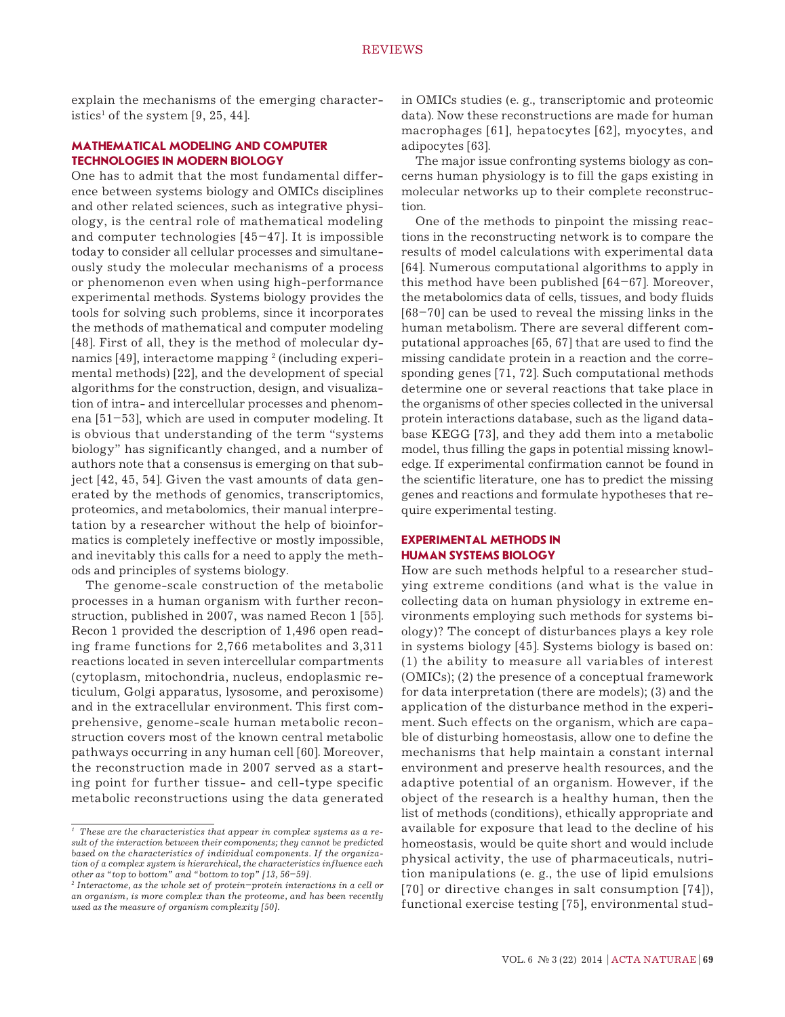explain the mechanisms of the emerging characteristics $^1$  of the system  $[9, 25, 44]$ .

# **Mathematical modeling and computer technologies in modern biology**

One has to admit that the most fundamental difference between systems biology and OMICs disciplines and other related sciences, such as integrative physiology, is the central role of mathematical modeling and computer technologies [45–47]. It is impossible today to consider all cellular processes and simultaneously study the molecular mechanisms of a process or phenomenon even when using high-performance experimental methods. Systems biology provides the tools for solving such problems, since it incorporates the methods of mathematical and computer modeling [48]. First of all, they is the method of molecular dynamics [49], interactome mapping  $^{\rm 2}$  (including experimental methods) [22], and the development of special algorithms for the construction, design, and visualization of intra- and intercellular processes and phenomena [51–53], which are used in computer modeling. It is obvious that understanding of the term "systems biology" has significantly changed, and a number of authors note that a consensus is emerging on that subject [42, 45, 54]. Given the vast amounts of data generated by the methods of genomics, transcriptomics, proteomics, and metabolomics, their manual interpretation by a researcher without the help of bioinformatics is completely ineffective or mostly impossible, and inevitably this calls for a need to apply the methods and principles of systems biology.

The genome-scale construction of the metabolic processes in a human organism with further reconstruction, published in 2007, was named Recon 1 [55]. Recon 1 provided the description of 1,496 open reading frame functions for 2,766 metabolites and 3,311 reactions located in seven intercellular compartments (cytoplasm, mitochondria, nucleus, endoplasmic reticulum, Golgi apparatus, lysosome, and peroxisome) and in the extracellular environment. This first comprehensive, genome-scale human metabolic reconstruction covers most of the known central metabolic pathways occurring in any human cell [60]. Moreover, the reconstruction made in 2007 served as a starting point for further tissue- and cell-type specific metabolic reconstructions using the data generated in OMICs studies (e. g., transcriptomic and proteomic data). Now these reconstructions are made for human macrophages [61], hepatocytes [62], myocytes, and adipocytes [63].

The major issue confronting systems biology as concerns human physiology is to fill the gaps existing in molecular networks up to their complete reconstruction.

One of the methods to pinpoint the missing reactions in the reconstructing network is to compare the results of model calculations with experimental data [64]. Numerous computational algorithms to apply in this method have been published [64–67]. Moreover, the metabolomics data of cells, tissues, and body fluids [68–70] can be used to reveal the missing links in the human metabolism. There are several different computational approaches [65, 67] that are used to find the missing candidate protein in a reaction and the corresponding genes [71, 72]. Such computational methods determine one or several reactions that take place in the organisms of other species collected in the universal protein interactions database, such as the ligand database KEGG [73], and they add them into a metabolic model, thus filling the gaps in potential missing knowledge. If experimental confirmation cannot be found in the scientific literature, one has to predict the missing genes and reactions and formulate hypotheses that require experimental testing.

# **Experimental methods in human systems biology**

How are such methods helpful to a researcher studying extreme conditions (and what is the value in collecting data on human physiology in extreme environments employing such methods for systems biology)? The concept of disturbances plays a key role in systems biology [45]. Systems biology is based on: (1) the ability to measure all variables of interest (OMICs); (2) the presence of a conceptual framework for data interpretation (there are models); (3) and the application of the disturbance method in the experiment. Such effects on the organism, which are capable of disturbing homeostasis, allow one to define the mechanisms that help maintain a constant internal environment and preserve health resources, and the adaptive potential of an organism. However, if the object of the research is a healthy human, then the list of methods (conditions), ethically appropriate and available for exposure that lead to the decline of his homeostasis, would be quite short and would include physical activity, the use of pharmaceuticals, nutrition manipulations (e. g., the use of lipid emulsions [70] or directive changes in salt consumption [74]), functional exercise testing [75], environmental stud-

<sup>&</sup>lt;sup>1</sup> These are the characteristics that appear in complex systems as a re*sult of the interaction between their components; they cannot be predicted based on the characteristics of individual components. If the organization of a complex system is hierarchical, the characteristics influence each other as "top to bottom" and "bottom to top" [13, 56–59].*

<sup>&</sup>lt;sup>2</sup> Interactome, as the whole set of protein–protein interactions in a cell or *an organism, is more complex than the proteome, and has been recently used as the measure of organism complexity [50].*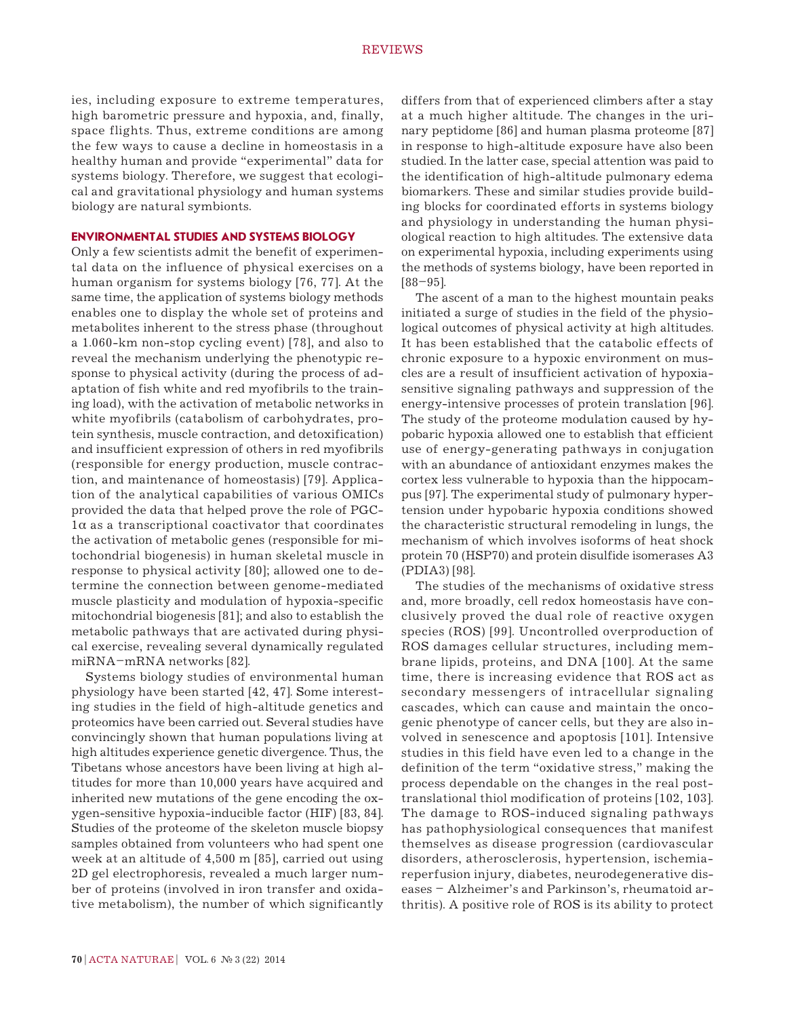ies, including exposure to extreme temperatures, high barometric pressure and hypoxia, and, finally, space flights. Thus, extreme conditions are among the few ways to cause a decline in homeostasis in a healthy human and provide "experimental" data for systems biology. Therefore, we suggest that ecological and gravitational physiology and human systems biology are natural symbionts.

#### **ENVIRONMENTAL studies and systems biology**

Only a few scientists admit the benefit of experimental data on the influence of physical exercises on a human organism for systems biology [76, 77]. At the same time, the application of systems biology methods enables one to display the whole set of proteins and metabolites inherent to the stress phase (throughout a 1.060-km non-stop cycling event) [78], and also to reveal the mechanism underlying the phenotypic response to physical activity (during the process of adaptation of fish white and red myofibrils to the training load), with the activation of metabolic networks in white myofibrils (catabolism of carbohydrates, protein synthesis, muscle contraction, and detoxification) and insufficient expression of others in red myofibrils (responsible for energy production, muscle contraction, and maintenance of homeostasis) [79]. Application of the analytical capabilities of various OMICs provided the data that helped prove the role of PGC- $1\alpha$  as a transcriptional coactivator that coordinates the activation of metabolic genes (responsible for mitochondrial biogenesis) in human skeletal muscle in response to physical activity [80]; allowed one to determine the connection between genome-mediated muscle plasticity and modulation of hypoxia-specific mitochondrial biogenesis [81]; and also to establish the metabolic pathways that are activated during physical exercise, revealing several dynamically regulated miRNA–mRNA networks [82].

Systems biology studies of environmental human physiology have been started [42, 47]. Some interesting studies in the field of high-altitude genetics and proteomics have been carried out. Several studies have convincingly shown that human populations living at high altitudes experience genetic divergence. Thus, the Tibetans whose ancestors have been living at high altitudes for more than 10,000 years have acquired and inherited new mutations of the gene encoding the oxygen-sensitive hypoxia-inducible factor (HIF) [83, 84]. Studies of the proteome of the skeleton muscle biopsy samples obtained from volunteers who had spent one week at an altitude of 4,500 m [85], carried out using 2D gel electrophoresis, revealed a much larger number of proteins (involved in iron transfer and oxidative metabolism), the number of which significantly differs from that of experienced climbers after a stay at a much higher altitude. The changes in the urinary peptidome [86] and human plasma proteome [87] in response to high-altitude exposure have also been studied. In the latter case, special attention was paid to the identification of high-altitude pulmonary edema biomarkers. These and similar studies provide building blocks for coordinated efforts in systems biology and physiology in understanding the human physiological reaction to high altitudes. The extensive data on experimental hypoxia, including experiments using the methods of systems biology, have been reported in [88–95].

The ascent of a man to the highest mountain peaks initiated a surge of studies in the field of the physiological outcomes of physical activity at high altitudes. It has been established that the catabolic effects of chronic exposure to a hypoxic environment on muscles are a result of insufficient activation of hypoxiasensitive signaling pathways and suppression of the energy-intensive processes of protein translation [96]. The study of the proteome modulation caused by hypobaric hypoxia allowed one to establish that efficient use of energy-generating pathways in conjugation with an abundance of antioxidant enzymes makes the cortex less vulnerable to hypoxia than the hippocampus [97]. The experimental study of pulmonary hypertension under hypobaric hypoxia conditions showed the characteristic structural remodeling in lungs, the mechanism of which involves isoforms of heat shock protein 70 (HSP70) and protein disulfide isomerases A3 (PDIA3) [98].

The studies of the mechanisms of oxidative stress and, more broadly, cell redox homeostasis have conclusively proved the dual role of reactive oxygen species (ROS) [99]. Uncontrolled overproduction of ROS damages cellular structures, including membrane lipids, proteins, and DNA [100]. At the same time, there is increasing evidence that ROS act as secondary messengers of intracellular signaling cascades, which can cause and maintain the oncogenic phenotype of cancer cells, but they are also involved in senescence and apoptosis [101]. Intensive studies in this field have even led to a change in the definition of the term "oxidative stress," making the process dependable on the changes in the real posttranslational thiol modification of proteins [102, 103]. The damage to ROS-induced signaling pathways has pathophysiological consequences that manifest themselves as disease progression (cardiovascular disorders, atherosclerosis, hypertension, ischemiareperfusion injury, diabetes, neurodegenerative diseases – Alzheimer's and Parkinson's, rheumatoid arthritis). A positive role of ROS is its ability to protect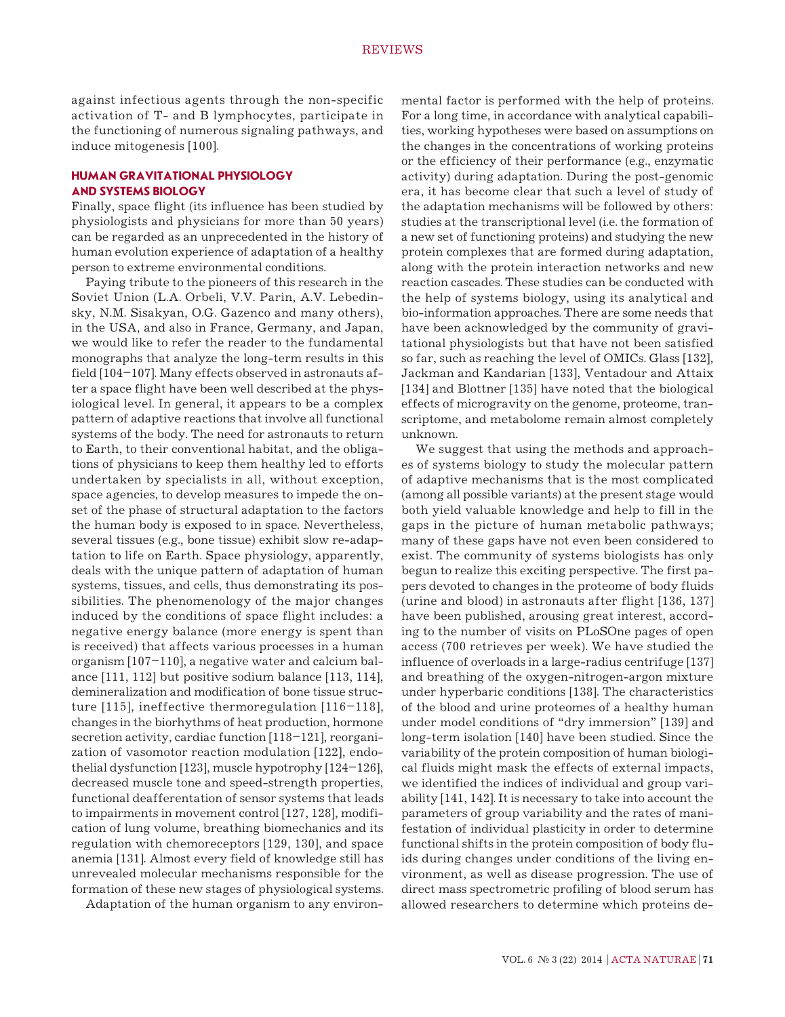against infectious agents through the non-specific activation of T- and B lymphocytes, participate in the functioning of numerous signaling pathways, and induce mitogenesis [100].

## **Human gravitational physiology and systems biology**

Finally, space flight (its influence has been studied by physiologists and physicians for more than 50 years) can be regarded as an unprecedented in the history of human evolution experience of adaptation of a healthy person to extreme environmental conditions.

Paying tribute to the pioneers of this research in the Soviet Union (L.A. Orbeli, V.V. Parin, A.V. Lebedinsky, N.M. Sisakyan, O.G. Gazenco and many others), in the USA, and also in France, Germany, and Japan, we would like to refer the reader to the fundamental monographs that analyze the long-term results in this field [104–107]. Many effects observed in astronauts after a space flight have been well described at the physiological level. In general, it appears to be a complex pattern of adaptive reactions that involve all functional systems of the body. The need for astronauts to return to Earth, to their conventional habitat, and the obligations of physicians to keep them healthy led to efforts undertaken by specialists in all, without exception, space agencies, to develop measures to impede the onset of the phase of structural adaptation to the factors the human body is exposed to in space. Nevertheless, several tissues (e.g., bone tissue) exhibit slow re-adaptation to life on Earth. Space physiology, apparently, deals with the unique pattern of adaptation of human systems, tissues, and cells, thus demonstrating its possibilities. The phenomenology of the major changes induced by the conditions of space flight includes: a negative energy balance (more energy is spent than is received) that affects various processes in a human organism [107–110], a negative water and calcium balance [111, 112] but positive sodium balance [113, 114], demineralization and modification of bone tissue structure [115], ineffective thermoregulation [116–118], changes in the biorhythms of heat production, hormone secretion activity, cardiac function [118–121], reorganization of vasomotor reaction modulation [122], endothelial dysfunction [123], muscle hypotrophy [124–126], decreased muscle tone and speed-strength properties, functional deafferentation of sensor systems that leads to impairments in movement control [127, 128], modification of lung volume, breathing biomechanics and its regulation with chemoreceptors [129, 130], and space anemia [131]. Almost every field of knowledge still has unrevealed molecular mechanisms responsible for the formation of these new stages of physiological systems.

Adaptation of the human organism to any environ-

mental factor is performed with the help of proteins. For a long time, in accordance with analytical capabilities, working hypotheses were based on assumptions on the changes in the concentrations of working proteins or the efficiency of their performance (e.g., enzymatic activity) during adaptation. During the post-genomic era, it has become clear that such a level of study of the adaptation mechanisms will be followed by others: studies at the transcriptional level (i.e. the formation of a new set of functioning proteins) and studying the new protein complexes that are formed during adaptation, along with the protein interaction networks and new reaction cascades. These studies can be conducted with the help of systems biology, using its analytical and bio-information approaches. There are some needs that have been acknowledged by the community of gravitational physiologists but that have not been satisfied so far, such as reaching the level of OMICs. Glass [132], Jackman and Kandarian [133], Ventadour and Attaix [134] and Blottner [135] have noted that the biological effects of microgravity on the genome, proteome, transcriptome, and metabolome remain almost completely unknown.

We suggest that using the methods and approaches of systems biology to study the molecular pattern of adaptive mechanisms that is the most complicated (among all possible variants) at the present stage would both yield valuable knowledge and help to fill in the gaps in the picture of human metabolic pathways; many of these gaps have not even been considered to exist. The community of systems biologists has only begun to realize this exciting perspective. The first papers devoted to changes in the proteome of body fluids (urine and blood) in astronauts after flight [136, 137] have been published, arousing great interest, according to the number of visits on PLoSOne pages of open access (700 retrieves per week). We have studied the influence of overloads in a large-radius centrifuge [137] and breathing of the oxygen-nitrogen-argon mixture under hyperbaric conditions [138]. The characteristics of the blood and urine proteomes of a healthy human under model conditions of "dry immersion" [139] and long-term isolation [140] have been studied. Since the variability of the protein composition of human biological fluids might mask the effects of external impacts, we identified the indices of individual and group variability [141, 142]. It is necessary to take into account the parameters of group variability and the rates of manifestation of individual plasticity in order to determine functional shifts in the protein composition of body fluids during changes under conditions of the living environment, as well as disease progression. The use of direct mass spectrometric profiling of blood serum has allowed researchers to determine which proteins de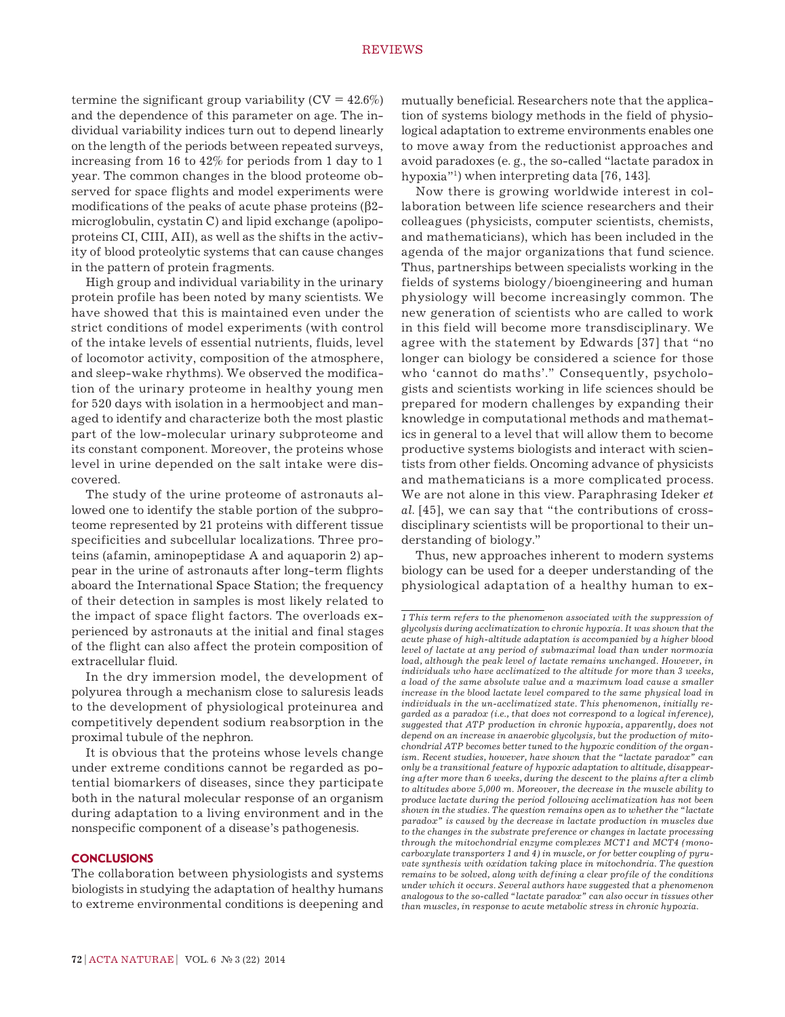termine the significant group variability  $(CV = 42.6\%)$ and the dependence of this parameter on age. The individual variability indices turn out to depend linearly on the length of the periods between repeated surveys, increasing from 16 to 42% for periods from 1 day to 1 year. The common changes in the blood proteome observed for space flights and model experiments were modifications of the peaks of acute phase proteins  $(\beta2 - \beta)$ microglobulin, cystatin C) and lipid exchange (apolipoproteins CI, CIII, AII), as well as the shifts in the activity of blood proteolytic systems that can cause changes in the pattern of protein fragments.

High group and individual variability in the urinary protein profile has been noted by many scientists. We have showed that this is maintained even under the strict conditions of model experiments (with control of the intake levels of essential nutrients, fluids, level of locomotor activity, composition of the atmosphere, and sleep-wake rhythms). We observed the modification of the urinary proteome in healthy young men for 520 days with isolation in a hermoobject and managed to identify and characterize both the most plastic part of the low-molecular urinary subproteome and its constant component. Moreover, the proteins whose level in urine depended on the salt intake were discovered.

The study of the urine proteome of astronauts allowed one to identify the stable portion of the subproteome represented by 21 proteins with different tissue specificities and subcellular localizations. Three proteins (afamin, aminopeptidase A and aquaporin 2) appear in the urine of astronauts after long-term flights aboard the International Space Station; the frequency of their detection in samples is most likely related to the impact of space flight factors. The overloads experienced by astronauts at the initial and final stages of the flight can also affect the protein composition of extracellular fluid.

In the dry immersion model, the development of polyurea through a mechanism close to saluresis leads to the development of physiological proteinurea and competitively dependent sodium reabsorption in the proximal tubule of the nephron.

It is obvious that the proteins whose levels change under extreme conditions cannot be regarded as potential biomarkers of diseases, since they participate both in the natural molecular response of an organism during adaptation to a living environment and in the nonspecific component of a disease's pathogenesis.

# **Conclusions**

The collaboration between physiologists and systems biologists in studying the adaptation of healthy humans to extreme environmental conditions is deepening and mutually beneficial. Researchers note that the application of systems biology methods in the field of physiological adaptation to extreme environments enables one to move away from the reductionist approaches and avoid paradoxes (e. g., the so-called "lactate paradox in hypoxia"1 ) when interpreting data [76, 143].

Now there is growing worldwide interest in collaboration between life science researchers and their colleagues (physicists, computer scientists, chemists, and mathematicians), which has been included in the agenda of the major organizations that fund science. Thus, partnerships between specialists working in the fields of systems biology/bioengineering and human physiology will become increasingly common. The new generation of scientists who are called to work in this field will become more transdisciplinary. We agree with the statement by Edwards [37] that "no longer can biology be considered a science for those who 'cannot do maths'." Consequently, psychologists and scientists working in life sciences should be prepared for modern challenges by expanding their knowledge in computational methods and mathematics in general to a level that will allow them to become productive systems biologists and interact with scientists from other fields. Oncoming advance of physicists and mathematicians is a more complicated process. We are not alone in this view. Paraphrasing Ideker *et al*. [45], we can say that "the contributions of crossdisciplinary scientists will be proportional to their understanding of biology."

Thus, new approaches inherent to modern systems biology can be used for a deeper understanding of the physiological adaptation of a healthy human to ex-

*<sup>1</sup> This term refers to the phenomenon associated with the suppression of glycolysis during acclimatization to chronic hypoxia. It was shown that the acute phase of high-altitude adaptation is accompanied by a higher blood level of lactate at any period of submaximal load than under normoxia load, although the peak level of lactate remains unchanged. However, in individuals who have acclimatized to the altitude for more than 3 weeks, a load of the same absolute value and a maximum load cause a smaller increase in the blood lactate level compared to the same physical load in individuals in the un-acclimatized state. This phenomenon, initially regarded as a paradox (i.e., that does not correspond to a logical inference), suggested that ATP production in chronic hypoxia, apparently, does not depend on an increase in anaerobic glycolysis, but the production of mitochondrial ATP becomes better tuned to the hypoxic condition of the organism. Recent studies, however, have shown that the "lactate paradox" can only be a transitional feature of hypoxic adaptation to altitude, disappearing after more than 6 weeks, during the descent to the plains after a climb to altitudes above 5,000 m. Moreover, the decrease in the muscle ability to produce lactate during the period following acclimatization has not been shown in the studies. The question remains open as to whether the "lactate paradox" is caused by the decrease in lactate production in muscles due to the changes in the substrate preference or changes in lactate processing through the mitochondrial enzyme complexes MCT1 and MCT4 (monocarboxylate transporters 1 and 4) in muscle, or for better coupling of pyruvate synthesis with oxidation taking place in mitochondria. The question remains to be solved, along with defining a clear profile of the conditions under which it occurs. Several authors have suggested that a phenomenon analogous to the so-called "lactate paradox" can also occur in tissues other than muscles, in response to acute metabolic stress in chronic hypoxia.*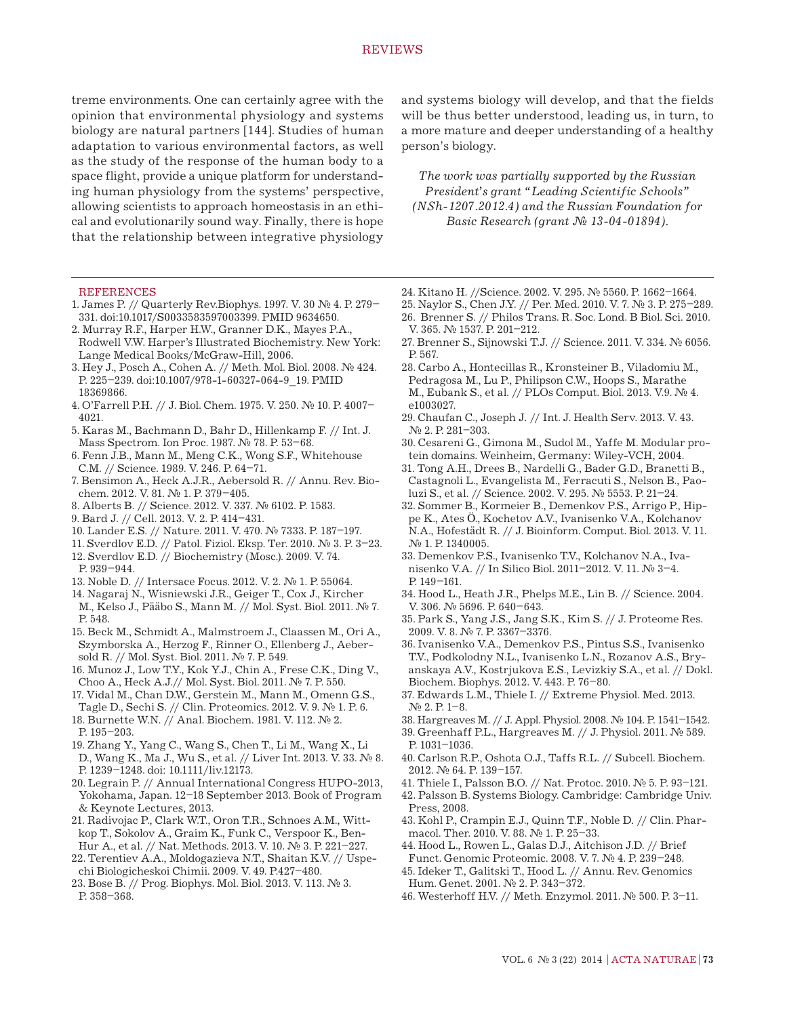treme environments. One can certainly agree with the opinion that environmental physiology and systems biology are natural partners [144]. Studies of human adaptation to various environmental factors, as well as the study of the response of the human body to a space flight, provide a unique platform for understanding human physiology from the systems' perspective, allowing scientists to approach homeostasis in an ethical and evolutionarily sound way. Finally, there is hope that the relationship between integrative physiology

#### **REFERENCES**

- 1. James P. // Quarterly Rev.Biophys. 1997. V. 30 № 4. Р. 279– 331. doi:10.1017/S0033583597003399. PMID 9634650.
- 2. Murray R.F., Harper H.W., Granner D.K., Mayes P.A., Rodwell V.W. Harper's Illustrated Biochemistry. New York: Lange Medical Books/McGraw-Hill, 2006.
- 3. Hey J., Posch A., Cohen A. // Meth. Mol. Biol. 2008. № 424. P. 225–239. doi:10.1007/978-1-60327-064-9\_19. PMID 18369866.
- 4. O'Farrell P.H*.* // J. Biol. Chem. 1975. V. 250. № 10. P. 4007– 4021.
- 5. Karas M., Bachmann D., Bahr D., Hillenkamp F. // Int. J. Mass Spectrom. Ion Proc. 1987. № 78. Р. 53–68.
- 6. Fenn J.B., Mann M., Meng C.K., Wong S.F., Whitehouse C.M. // Science. 1989. V. 246. P. 64–71.
- 7. Bensimon A., Heck A.J.R., Aebersold R. // Annu. Rev. Biochem. 2012. V. 81. № 1. P. 379–405.
- 8. Alberts B. // Science. 2012. V. 337. № 6102. P. 1583.
- 9. Bard J. // Cell. 2013. V. 2. P. 414–431.
- 10. Lander E.S. // Nature. 2011. V. 470. № 7333. P. 187–197.
- 11. Sverdlov E.D*.* // Patol. Fiziol. Eksp. Ter. 2010. № 3. P. 3–23.
- 12. Sverdlov E.D. // Biochemistry (Mosc.). 2009. V. 74. P. 939–944.
- 13. Noble D*.* // Intersace Focus. 2012. V. 2. № 1. Р. 55064.
- 14. Nagaraj N., Wisniewski J.R., Geiger T., Cox J., Kircher M., Kelso J., Pääbo S., Mann M*.* // Mol. Syst. Biol. 2011. № 7. P. 548.
- 15. Beck M., Schmidt A., Malmstroem J., Claassen M., Ori A., Szymborska A., Herzog F., Rinner O., Ellenberg J., Aebersold R. // Mol. Syst. Biol. 2011. № 7. P. 549.
- 16. Munoz J., Low T.Y., Kok Y.J., Chin A., Frese C.K., Ding V., Choo A., Heck A.J.// Mol. Syst. Biol. 2011. № 7. P. 550.
- 17. Vidal M., Chan D.W., Gerstein M., Mann M., Omenn G.S., Tagle D., Sechi S. // Clin. Proteomics. 2012. V. 9. № 1. P. 6.
- 18. Burnette W.N. // Anal. Biochem. 1981. V. 112. № 2. P. 195–203.
- 19. Zhang Y., Yang C., Wang S., Chen T., Li M., Wang X., Li D., Wang K., Ma J., Wu S., et al. // Liver Int. 2013. V. 33. № 8. Р. 1239–1248. doi: 10.1111/liv.12173.
- 20. Legrain P. // Annual International Congress HUPO-2013, Yokohama, Japan. 12–18 September 2013. Book of Program & Keynote Lectures, 2013.
- 21. Radivojac P., Clark W.T., Oron T.R., Schnoes A.M., Wittkop T., Sokolov A., Graim K., Funk C., Verspoor K., Ben-Hur A., et al. // Nat. Methods. 2013. V. 10. № 3. Р. 221–227.
- 22. Terentiev A.A., Moldogazieva N.T., Shaitan K.V. // Uspechi Biologicheskoi Chimii. 2009. V. 49. P.427–480.
- 23. Bose B. // Prog. Biophys. Mol. Biol. 2013. V. 113. № 3. Р. 358–368.

and systems biology will develop, and that the fields will be thus better understood, leading us, in turn, to a more mature and deeper understanding of a healthy person's biology.

*The work was partially supported by the Russian President's grant "Leading Scientific Schools" (NSh-1207.2012.4) and the Russian Foundation for Basic Research (grant № 13-04-01894).*

- 24. Kitano H. //Science. 2002. V. 295. № 5560. P. 1662–1664.
- 25. Naylor S., Chen J.Y. // Per. Med. 2010. V. 7. № 3. Р. 275–289. 26. Brenner S. // Philos Trans. R. Soc. Lond. B Biol. Sci. 2010.
- V. 365. № 1537. Р. 201–212.
- 27. Brenner S., Sijnowski T.J. // Science. 2011. V. 334. № 6056. Р. 567.
- 28. Carbo A., Hontecillas R., Kronsteiner B., Viladomiu M., Pedragosa M., Lu P., Philipson C.W., Hoops S., Marathe M., Eubank S., et al. // PLOs Comput. Biol. 2013. V.9. № 4. e1003027.
- 29. Chaufan C., Joseph J*.* // Int. J. Health Serv. 2013. V. 43. № 2. Р. 281–303.
- 30. Cesareni G., Gimona M., Sudol M., Yaffe M. Modular protein domains. Weinheim, Germany: Wiley-VCH, 2004.
- 31. Tong A.H., Drees B., Nardelli G., Bader G.D., Branetti B., Castagnoli L., Evangelista M., Ferracuti S., Nelson B., Paoluzi S., et al. // Science. 2002. V. 295. № 5553. Р. 21–24.
- 32. Sommer B., Kormeier B., Demenkov P.S., Arrigo P., Hippe K., Ates Ö., Kochetov A.V., Ivanisenko V.A., Kolchanov N.A., Hofestädt R. // J. Bioinform. Comput. Biol. 2013. V. 11. № 1. Р. 1340005.
- 33. Demenkov P.S., Ivanisenko T.V., Kolchanov N.A., Ivanisenko V.A. // In Silico Biol. 2011–2012. V. 11. № 3–4. Р. 149–161.
- 34. Hood L., Heath J.R., Phelps M.E., Lin B. // Science. 2004. V. 306. № 5696. Р. 640–643.
- 35. Park S., Yang J.S., Jang S.K., Kim S. // J. Proteome Res. 2009. V. 8. № 7. Р. 3367–3376.
- 36. Ivanisenko V.A., Demenkov P.S., Pintus S.S., Ivanisenko T.V., Podkolodny N.L., Ivanisenko L.N., Rozanov A.S., Bryanskaya A.V., Kostrjukova E.S., Levizkiy S.A., et al. // Dokl. Biochem. Biophys. 2012. V. 443. Р. 76–80.
- 37. Edwards L.M., Thiele I. // Extreme Physiol. Med. 2013. № 2. P. 1–8.
- 38. Hargreaves M. // J. Appl. Physiol. 2008. № 104. P. 1541–1542.
- 39. Greenhaff P.L., Hargreaves M. // J. Physiol. 2011. № 589. P. 1031–1036.
- 40. Carlson R.P., Oshota O.J., Taffs R.L. // Subcell. Biochem. 2012. № 64. P. 139–157.
- 41. Thiele I., Palsson B.O. // Nat. Protoc. 2010. № 5. P. 93–121.
- 42. Palsson B. Systems Biology. Cambridge: Cambridge Univ. Press, 2008.
- 43. Kohl P., Crampin E.J., Quinn T.F., Noble D*.* // Clin. Pharmacol. Ther. 2010. V. 88. № 1. Р. 25–33.
- 44. Hood L., Rowen L., Galas D.J., Aitchison J.D. // Brief Funct. Genomic Proteomic. 2008. V. 7. № 4. Р. 239–248.
- 45. Ideker T., Galitski T., Hood L. // Annu. Rev. Genomics Hum. Genet. 2001. № 2. P. 343–372.
- 46. Westerhoff H.V. // Meth. Enzymol. 2011. № 500. P. 3–11.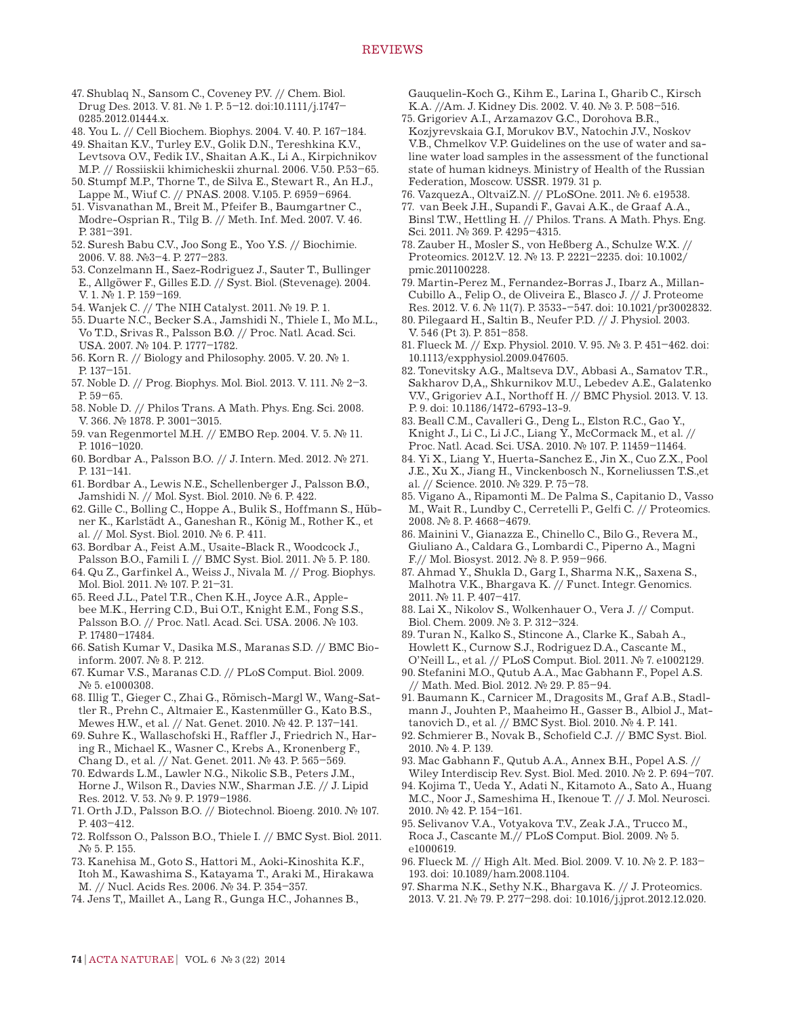47. Shublaq N., Sansom C., Coveney P.V. // Chem. Biol. Drug Des. 2013. V. 81. № 1. P. 5–12. doi:10.1111/j.1747– 0285.2012.01444.x.

- 48. You L. // Cell Biochem. Biophys. 2004. V. 40. Р. 167–184.
- 49. Shaitan K.V., Turley E.V., Golik D.N., Tereshkina K.V., Levtsova O.V., Fedik I.V., Shaitan A.K., Li A., Kirpichnikov
- M.P. // Rossiiskii khimicheskii zhurnal. 2006. V.50. P.53–65. 50. Stumpf M.P., Thorne T., de Silva E., Stewart R., An H.J.,
- Lappe M., Wiuf C. // PNAS. 2008. V.105. P. 6959–6964. 51. Visvanathan M., Breit M., Pfeifer B., Baumgartner C., Modre-Osprian R., Tilg B. // Meth. Inf. Med. 2007. V. 46. Р. 381–391.
- 52. Suresh Babu C.V., Joo Song E., Yoo Y.S. // Biochimie. 2006. V. 88. №3–4. Р. 277–283.
- 53. Conzelmann H., Saez-Rodriguez J., Sauter T., Bullinger E., Allgöwer F., Gilles E.D. // Syst. Biol. (Stevenage). 2004. V. 1. № 1. Р. 159–169.
- 54. Wanjek C. // The NIH Catalyst. 2011. № 19. P. 1.
- 55. Duarte N.C., Becker S.A., Jamshidi N., Thiele I., Mo M.L., Vo T.D., Srivas R., Palsson B.Ø. // Proc. Natl. Acad. Sci. USA. 2007. № 104. P. 1777–1782.
- 56. Korn R. // Biology and Philosophy. 2005. V. 20. № 1. Р. 137–151.
- 57. Noble D. // Prog. Biophys. Mol. Biol. 2013. V. 111. № 2–3. Р. 59–65.
- 58. Noble D*.* // Philos Trans. A Math. Phys. Eng. Sci. 2008. V. 366. № 1878. Р. 3001–3015.
- 59. van Regenmortel M.H. // EMBO Rep. 2004. V. 5. № 11. Р. 1016–1020.
- 60. Bordbar A., Palsson B.O*.* // J. Intern. Med. 2012. № 271. P. 131–141.
- 61. Bordbar A., Lewis N.E., Schellenberger J., Palsson B.Ø., Jamshidi N. // Mol. Syst. Biol. 2010. № 6. P. 422.
- 62. Gille C., Bolling C., Hoppe A., Bulik S., Hoffmann S., Hübner K., Karlstädt A., Ganeshan R., König M., Rother K., et al. // Mol. Syst. Biol. 2010. № 6. P. 411.
- 63. Bordbar A., Feist A.M., Usaite-Black R., Woodcock J., Palsson B.O., Famili I. // BMC Syst. Biol. 2011. № 5. P. 180.
- 64. Qu Z., Garfinkel A., Weiss J., Nivala M. // Prog. Biophys. Mol. Biol. 2011. № 107. P. 21–31.
- 65. Reed J.L., Patel T.R., Chen K.H., Joyce A.R., Applebee M.K., Herring C.D., Bui O.T., Knight E.M., Fong S.S., Palsson B.O. // Proc. Natl. Acad. Sci. USA. 2006. № 103. P. 17480–17484.
- 66. Satish Kumar V., Dasika M.S., Maranas S.D. // BMC Bioinform. 2007. № 8. P. 212.
- 67. Kumar V.S., Maranas C.D. // PLoS Comput. Biol. 2009. № 5. e1000308.
- 68. Illig T., Gieger C., Zhai G., Römisch-Margl W., Wang-Sattler R., Prehn C., Altmaier E., Kastenmüller G., Kato B.S., Mewes H.W., et al. // Nat. Genet. 2010. № 42. P. 137–141.
- 69. Suhre K., Wallaschofski H., Raffler J., Friedrich N., Haring R., Michael K., Wasner C., Krebs A., Kronenberg F., Chang D., et al. // Nat. Genet. 2011. № 43. P. 565–569.
- 70. Edwards L.M., Lawler N.G., Nikolic S.B., Peters J.M., Horne J., Wilson R., Davies N.W., Sharman J.E. // J. Lipid Res. 2012. V. 53. № 9. P. 1979–1986.
- 71. Orth J.D., Palsson B.O. // Biotechnol. Bioeng. 2010. № 107. P. 403–412.
- 72. Rolfsson O., Palsson B.O., Thiele I. // BMC Syst. Biol. 2011. № 5. P. 155.
- 73. Kanehisa M., Goto S., Hattori M., Aoki-Kinoshita K.F., Itoh M., Kawashima S., Katayama T., Araki M., Hirakawa M*.* // Nucl. Acids Res. 2006. № 34. P. 354–357.
- 74. Jens T,, Maillet A., Lang R., Gunga H.C., Johannes B.,

Gauquelin-Koch G., Kihm E., Larina I., Gharib C., Kirsch K.A. //Am. J. Kidney Dis. 2002. V. 40. № 3. P. 508–516.

- 75. Grigoriev A.I., Arzamazov G.C., Dorohova B.R., Kozjyrevskaia G.I, Morukov B.V., Natochin J.V., Noskov V.B., Chmelkov V.P. Guidelines on the use of water and saline water load samples in the assessment of the functional state of human kidneys. Ministry of Health of the Russian Federation, Moscow. USSR. 1979. 31 p.
- 76. VazquezA., OltvaiZ.N. // PLoSOne. 2011. № 6. e19538.
- 77. van Beek J.H., Supandi F., Gavai A.K., de Graaf A.A., Binsl T.W., Hettling H. // Philos. Trans. A Math. Phys. Eng. Sci. 2011. № 369. P. 4295–4315.
- 78. Zauber H., Mosler S., von Heßberg A., Schulze W.X. // Proteomics. 2012.V. 12. № 13. Р. 2221–2235. doi: 10.1002/ pmic.201100228.
- 79. Martin-Perez M., Fernandez-Borras J., Ibarz A., Millan-Cubillo A., Felip O., de Oliveira E., Blasco J. // J. Proteome Res. 2012. V. 6. № 11(7). Р. 3533-–547. doi: 10.1021/pr3002832.
- 80. Pilegaard H., Saltin B., Neufer P.D. // J. Physiol. 2003. V. 546 (Pt 3). Р. 851–858.
- 81. Flueck M. // Exp. Physiol. 2010. V. 95. № 3. Р. 451–462. doi: 10.1113/expphysiol.2009.047605.
- 82. Tonevitsky A.G., Maltseva D.V., Abbasi A., Samatov T.R., Sakharov D,A,, Shkurnikov M.U., Lebedev A.E., Galatenko V.V., Grigoriev A.I., Northoff H. // BMC Physiol. 2013. V. 13. Р. 9. doi: 10.1186/1472-6793-13-9.
- 83. Beall C.M., Cavalleri G., Deng L., Elston R.C., Gao Y., Knight J., Li C., Li J.C., Liang Y., McCormack M., et al. // Proc. Natl. Acad. Sci. USA. 2010. № 107. P. 11459–11464.
- 84. Yi X., Liang Y., Huerta-Sanchez E., Jin X., Cuo Z.X., Pool J.E., Xu X., Jiang H., Vinckenbosch N., Korneliussen T.S.,et al. // Science. 2010. № 329. P. 75–78.
- 85. Vigano A., Ripamonti M.. De Palma S., Capitanio D., Vasso M., Wait R., Lundby C., Cerretelli P., Gelfi C. // Proteomics. 2008. № 8. P. 4668–4679.
- 86. Mainini V., Gianazza E., Chinello C., Bilo G., Revera M., Giuliano A., Caldara G., Lombardi C., Piperno A., Magni F.// Mol. Biosyst. 2012. № 8. P. 959–966.
- 87. Ahmad Y., Shukla D., Garg I., Sharma N.K,, Saxena S., Malhotra V.K., Bhargava K. // Funct. Integr. Genomics. 2011. № 11. P. 407–417.
- 88. Lai X., Nikolov S., Wolkenhauer O., Vera J. // Comput. Biol. Chem. 2009. № 3. P. 312–324.

89. Turan N., Kalko S., Stincone A., Clarke K., Sabah A., Howlett K., Curnow S.J., Rodriguez D.A., Cascante M., O'Neill L., et al. // PLoS Comput. Biol. 2011. № 7. e1002129.

- 90. Stefanini M.O., Qutub A.A., Mac Gabhann F., Popel A.S. // Math. Med. Biol. 2012. № 29. P. 85–94.
- 91. Baumann K., Carnicer M., Dragosits M., Graf A.B., Stadlmann J., Jouhten P., Maaheimo H., Gasser B., Albiol J., Mattanovich D., et al. // BMC Syst. Biol. 2010. № 4. P. 141.
- 92. Schmierer B., Novak B., Schofield C.J. // BMC Syst. Biol. 2010. № 4. P. 139.
- 93. Mac Gabhann F., Qutub A.A., Annex B.H., Popel A.S. // Wiley Interdiscip Rev. Syst. Biol. Med. 2010. № 2. P. 694–707.
- 94. Kojima T., Ueda Y., Adati N., Kitamoto A., Sato A., Huang M.C., Noor J., Sameshima H., Ikenoue T. // J. Mol. Neurosci. 2010. № 42. P. 154–161.

95. Selivanov V.A., Votyakova T.V., Zeak J.A., Trucco M., Roca J., Cascante M.// PLoS Comput. Biol. 2009. № 5. e1000619.

- 96. Flueck M. // High Alt. Med. Biol. 2009. V. 10. № 2. P. 183– 193. doi: 10.1089/ham.2008.1104.
- 97. Sharma N.K., Sethy N.K., Bhargava K. // J. Proteomics. 2013. V. 21. № 79. P. 277–298. doi: 10.1016/j.jprot.2012.12.020.